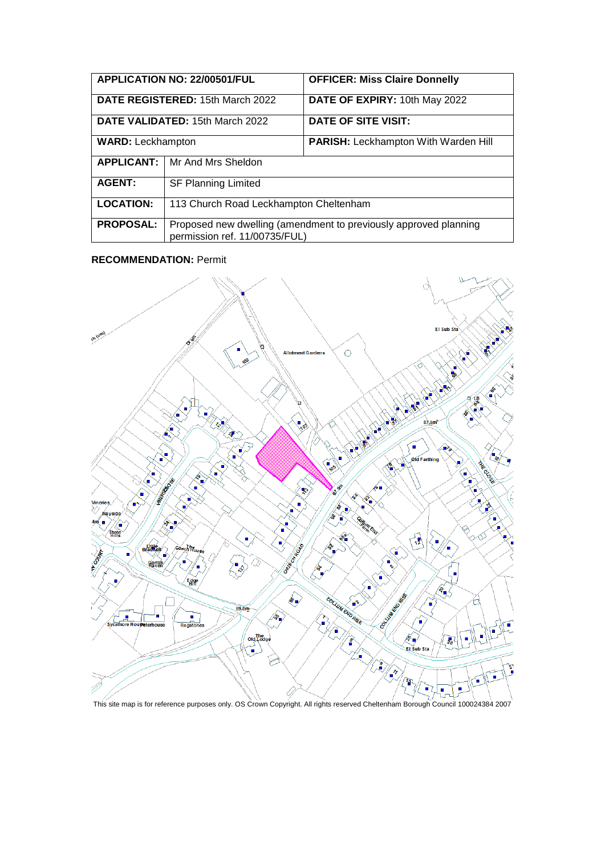| <b>APPLICATION NO: 22/00501/FUL</b> |                                                                                                   | <b>OFFICER: Miss Claire Donnelly</b> |
|-------------------------------------|---------------------------------------------------------------------------------------------------|--------------------------------------|
| DATE REGISTERED: 15th March 2022    |                                                                                                   | DATE OF EXPIRY: 10th May 2022        |
| DATE VALIDATED: 15th March 2022     |                                                                                                   | DATE OF SITE VISIT:                  |
| <b>WARD: Leckhampton</b>            |                                                                                                   | PARISH: Leckhampton With Warden Hill |
| <b>APPLICANT:</b>                   | Mr And Mrs Sheldon                                                                                |                                      |
| <b>AGENT:</b>                       | <b>SF Planning Limited</b>                                                                        |                                      |
| <b>LOCATION:</b>                    | 113 Church Road Leckhampton Cheltenham                                                            |                                      |
| <b>PROPOSAL:</b>                    | Proposed new dwelling (amendment to previously approved planning<br>permission ref. 11/00735/FUL) |                                      |

#### **RECOMMENDATION:** Permit



This site map is for reference purposes only. OS Crown Copyright. All rights reserved Cheltenham Borough Council 100024384 2007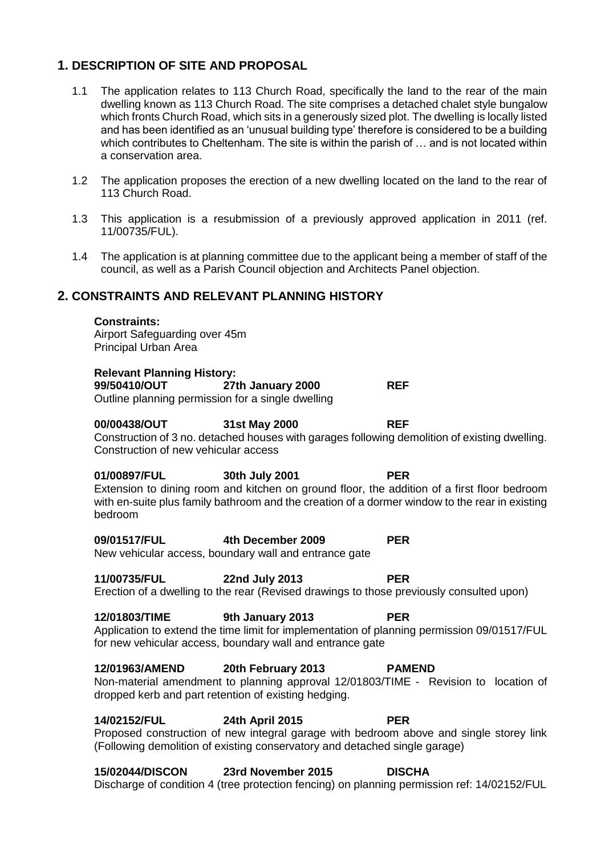# **1. DESCRIPTION OF SITE AND PROPOSAL**

- 1.1 The application relates to 113 Church Road, specifically the land to the rear of the main dwelling known as 113 Church Road. The site comprises a detached chalet style bungalow which fronts Church Road, which sits in a generously sized plot. The dwelling is locally listed and has been identified as an 'unusual building type' therefore is considered to be a building which contributes to Cheltenham. The site is within the parish of ... and is not located within a conservation area.
- 1.2 The application proposes the erection of a new dwelling located on the land to the rear of 113 Church Road.
- 1.3 This application is a resubmission of a previously approved application in 2011 (ref. 11/00735/FUL).
- 1.4 The application is at planning committee due to the applicant being a member of staff of the council, as well as a Parish Council objection and Architects Panel objection.

# **2. CONSTRAINTS AND RELEVANT PLANNING HISTORY**

#### **Constraints:**

Airport Safeguarding over 45m Principal Urban Area

### **Relevant Planning History:**

**99/50410/OUT 27th January 2000 REF** Outline planning permission for a single dwelling

### **00/00438/OUT 31st May 2000 REF**

Construction of 3 no. detached houses with garages following demolition of existing dwelling. Construction of new vehicular access

#### **01/00897/FUL 30th July 2001 PER**

Extension to dining room and kitchen on ground floor, the addition of a first floor bedroom with en-suite plus family bathroom and the creation of a dormer window to the rear in existing bedroom

### **09/01517/FUL 4th December 2009 PER**

New vehicular access, boundary wall and entrance gate

## **11/00735/FUL 22nd July 2013 PER**

Erection of a dwelling to the rear (Revised drawings to those previously consulted upon)

# **12/01803/TIME 9th January 2013 PER**

Application to extend the time limit for implementation of planning permission 09/01517/FUL for new vehicular access, boundary wall and entrance gate

### **12/01963/AMEND 20th February 2013 PAMEND**

#### Non-material amendment to planning approval 12/01803/TIME - Revision to location of dropped kerb and part retention of existing hedging.

## **14/02152/FUL 24th April 2015 PER**

Proposed construction of new integral garage with bedroom above and single storey link (Following demolition of existing conservatory and detached single garage)

## **15/02044/DISCON 23rd November 2015 DISCHA**

Discharge of condition 4 (tree protection fencing) on planning permission ref: 14/02152/FUL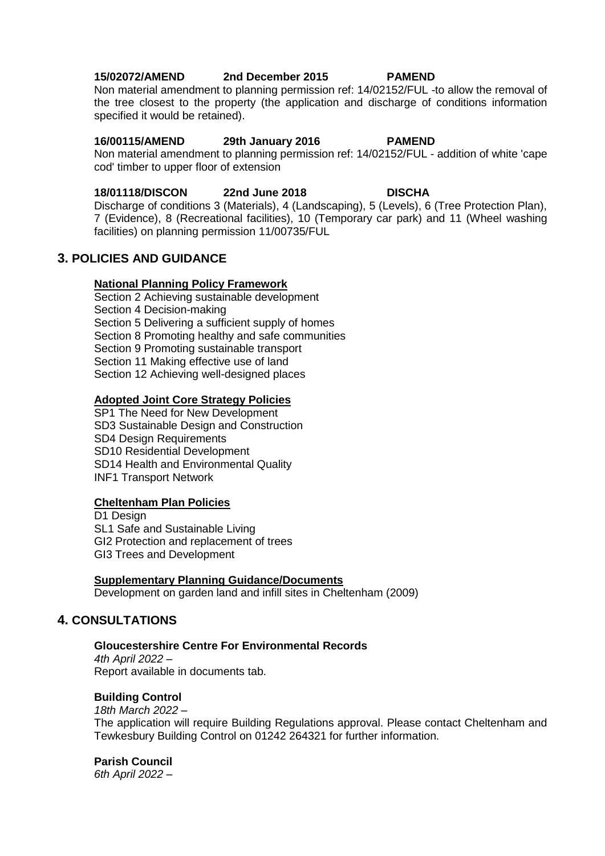## **15/02072/AMEND 2nd December 2015 PAMEND**

Non material amendment to planning permission ref: 14/02152/FUL -to allow the removal of the tree closest to the property (the application and discharge of conditions information specified it would be retained).

### **16/00115/AMEND 29th January 2016 PAMEND**

Non material amendment to planning permission ref: 14/02152/FUL - addition of white 'cape cod' timber to upper floor of extension

### **18/01118/DISCON 22nd June 2018 DISCHA**

Discharge of conditions 3 (Materials), 4 (Landscaping), 5 (Levels), 6 (Tree Protection Plan), 7 (Evidence), 8 (Recreational facilities), 10 (Temporary car park) and 11 (Wheel washing facilities) on planning permission 11/00735/FUL

# **3. POLICIES AND GUIDANCE**

### **National Planning Policy Framework**

Section 2 Achieving sustainable development Section 4 Decision-making Section 5 Delivering a sufficient supply of homes Section 8 Promoting healthy and safe communities Section 9 Promoting sustainable transport Section 11 Making effective use of land Section 12 Achieving well-designed places

### **Adopted Joint Core Strategy Policies**

SP1 The Need for New Development SD3 Sustainable Design and Construction SD4 Design Requirements SD10 Residential Development SD14 Health and Environmental Quality INF1 Transport Network

## **Cheltenham Plan Policies**

D1 Design SL1 Safe and Sustainable Living GI2 Protection and replacement of trees GI3 Trees and Development

#### **Supplementary Planning Guidance/Documents**

Development on garden land and infill sites in Cheltenham (2009)

# **4. CONSULTATIONS**

### **Gloucestershire Centre For Environmental Records**

*4th April 2022* – Report available in documents tab.

## **Building Control**

*18th March 2022* – The application will require Building Regulations approval. Please contact Cheltenham and Tewkesbury Building Control on 01242 264321 for further information.

### **Parish Council**

*6th April 2022* –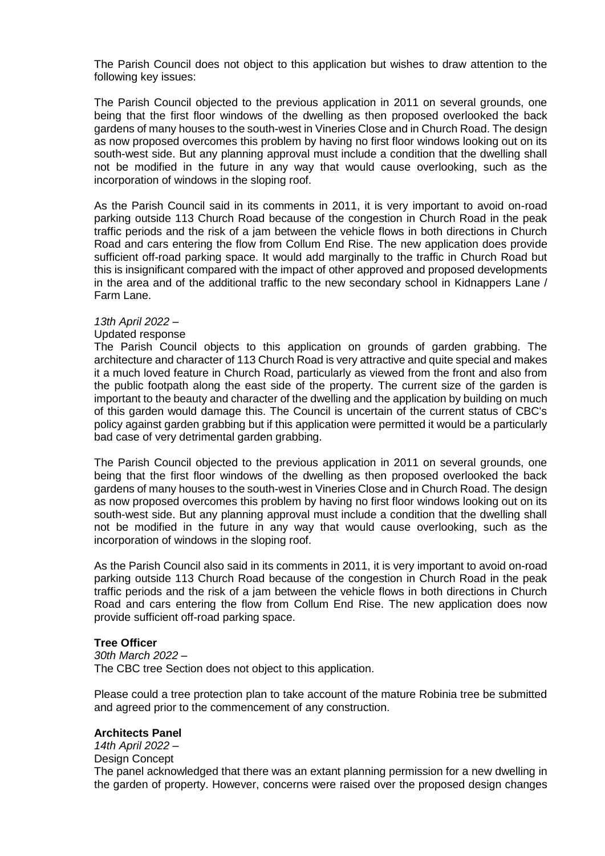The Parish Council does not object to this application but wishes to draw attention to the following key issues:

The Parish Council objected to the previous application in 2011 on several grounds, one being that the first floor windows of the dwelling as then proposed overlooked the back gardens of many houses to the south-west in Vineries Close and in Church Road. The design as now proposed overcomes this problem by having no first floor windows looking out on its south-west side. But any planning approval must include a condition that the dwelling shall not be modified in the future in any way that would cause overlooking, such as the incorporation of windows in the sloping roof.

As the Parish Council said in its comments in 2011, it is very important to avoid on-road parking outside 113 Church Road because of the congestion in Church Road in the peak traffic periods and the risk of a jam between the vehicle flows in both directions in Church Road and cars entering the flow from Collum End Rise. The new application does provide sufficient off-road parking space. It would add marginally to the traffic in Church Road but this is insignificant compared with the impact of other approved and proposed developments in the area and of the additional traffic to the new secondary school in Kidnappers Lane / Farm Lane.

#### *13th April 2022* –

#### Updated response

The Parish Council objects to this application on grounds of garden grabbing. The architecture and character of 113 Church Road is very attractive and quite special and makes it a much loved feature in Church Road, particularly as viewed from the front and also from the public footpath along the east side of the property. The current size of the garden is important to the beauty and character of the dwelling and the application by building on much of this garden would damage this. The Council is uncertain of the current status of CBC's policy against garden grabbing but if this application were permitted it would be a particularly bad case of very detrimental garden grabbing.

The Parish Council objected to the previous application in 2011 on several grounds, one being that the first floor windows of the dwelling as then proposed overlooked the back gardens of many houses to the south-west in Vineries Close and in Church Road. The design as now proposed overcomes this problem by having no first floor windows looking out on its south-west side. But any planning approval must include a condition that the dwelling shall not be modified in the future in any way that would cause overlooking, such as the incorporation of windows in the sloping roof.

As the Parish Council also said in its comments in 2011, it is very important to avoid on-road parking outside 113 Church Road because of the congestion in Church Road in the peak traffic periods and the risk of a jam between the vehicle flows in both directions in Church Road and cars entering the flow from Collum End Rise. The new application does now provide sufficient off-road parking space.

### **Tree Officer**

*30th March 2022* – The CBC tree Section does not object to this application.

Please could a tree protection plan to take account of the mature Robinia tree be submitted and agreed prior to the commencement of any construction.

#### **Architects Panel**

*14th April 2022* – Design Concept The panel acknowledged that there was an extant planning permission for a new dwelling in the garden of property. However, concerns were raised over the proposed design changes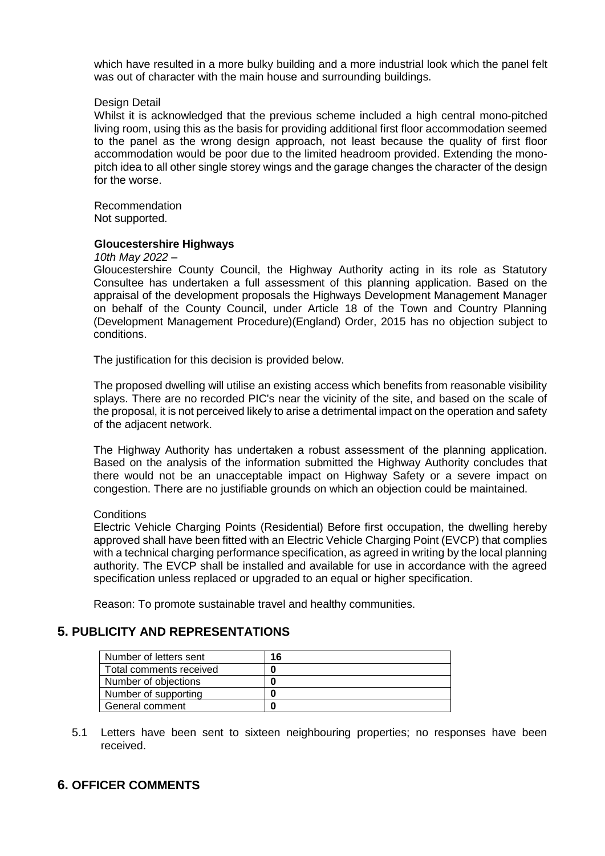which have resulted in a more bulky building and a more industrial look which the panel felt was out of character with the main house and surrounding buildings.

#### Design Detail

Whilst it is acknowledged that the previous scheme included a high central mono-pitched living room, using this as the basis for providing additional first floor accommodation seemed to the panel as the wrong design approach, not least because the quality of first floor accommodation would be poor due to the limited headroom provided. Extending the monopitch idea to all other single storey wings and the garage changes the character of the design for the worse.

Recommendation Not supported.

#### **Gloucestershire Highways**

#### *10th May 2022 –*

Gloucestershire County Council, the Highway Authority acting in its role as Statutory Consultee has undertaken a full assessment of this planning application. Based on the appraisal of the development proposals the Highways Development Management Manager on behalf of the County Council, under Article 18 of the Town and Country Planning (Development Management Procedure)(England) Order, 2015 has no objection subject to conditions.

The justification for this decision is provided below.

The proposed dwelling will utilise an existing access which benefits from reasonable visibility splays. There are no recorded PIC's near the vicinity of the site, and based on the scale of the proposal, it is not perceived likely to arise a detrimental impact on the operation and safety of the adjacent network.

The Highway Authority has undertaken a robust assessment of the planning application. Based on the analysis of the information submitted the Highway Authority concludes that there would not be an unacceptable impact on Highway Safety or a severe impact on congestion. There are no justifiable grounds on which an objection could be maintained.

#### **Conditions**

Electric Vehicle Charging Points (Residential) Before first occupation, the dwelling hereby approved shall have been fitted with an Electric Vehicle Charging Point (EVCP) that complies with a technical charging performance specification, as agreed in writing by the local planning authority. The EVCP shall be installed and available for use in accordance with the agreed specification unless replaced or upgraded to an equal or higher specification.

Reason: To promote sustainable travel and healthy communities.

### **5. PUBLICITY AND REPRESENTATIONS**

| Number of letters sent  | 16 |
|-------------------------|----|
| Total comments received |    |
| Number of objections    |    |
| Number of supporting    |    |
| General comment         |    |

5.1 Letters have been sent to sixteen neighbouring properties; no responses have been received.

# **6. OFFICER COMMENTS**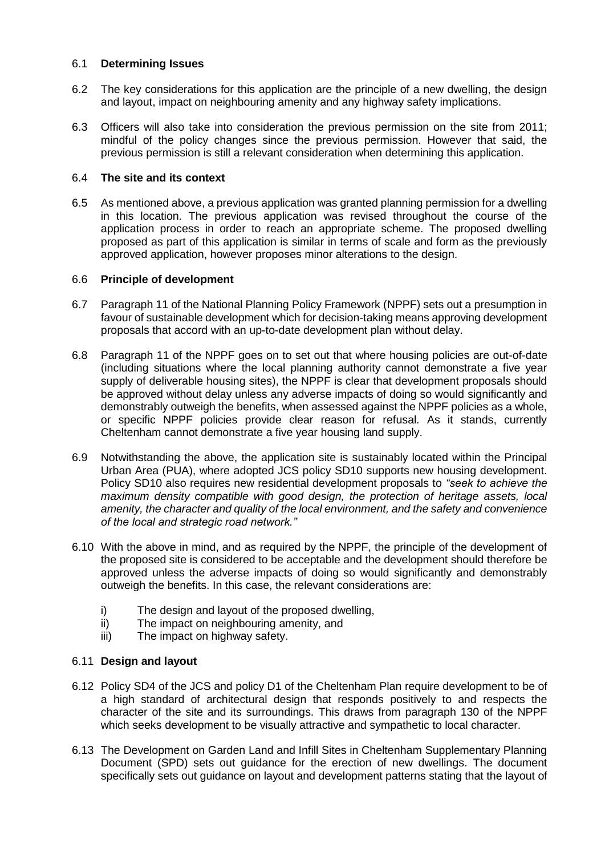### 6.1 **Determining Issues**

- 6.2 The key considerations for this application are the principle of a new dwelling, the design and layout, impact on neighbouring amenity and any highway safety implications.
- 6.3 Officers will also take into consideration the previous permission on the site from 2011; mindful of the policy changes since the previous permission. However that said, the previous permission is still a relevant consideration when determining this application.

## 6.4 **The site and its context**

6.5 As mentioned above, a previous application was granted planning permission for a dwelling in this location. The previous application was revised throughout the course of the application process in order to reach an appropriate scheme. The proposed dwelling proposed as part of this application is similar in terms of scale and form as the previously approved application, however proposes minor alterations to the design.

### 6.6 **Principle of development**

- 6.7 Paragraph 11 of the National Planning Policy Framework (NPPF) sets out a presumption in favour of sustainable development which for decision-taking means approving development proposals that accord with an up-to-date development plan without delay.
- 6.8 Paragraph 11 of the NPPF goes on to set out that where housing policies are out-of-date (including situations where the local planning authority cannot demonstrate a five year supply of deliverable housing sites), the NPPF is clear that development proposals should be approved without delay unless any adverse impacts of doing so would significantly and demonstrably outweigh the benefits, when assessed against the NPPF policies as a whole, or specific NPPF policies provide clear reason for refusal. As it stands, currently Cheltenham cannot demonstrate a five year housing land supply.
- 6.9 Notwithstanding the above, the application site is sustainably located within the Principal Urban Area (PUA), where adopted JCS policy SD10 supports new housing development. Policy SD10 also requires new residential development proposals to *"seek to achieve the maximum density compatible with good design, the protection of heritage assets, local amenity, the character and quality of the local environment, and the safety and convenience of the local and strategic road network."*
- 6.10 With the above in mind, and as required by the NPPF, the principle of the development of the proposed site is considered to be acceptable and the development should therefore be approved unless the adverse impacts of doing so would significantly and demonstrably outweigh the benefits. In this case, the relevant considerations are:
	- i) The design and layout of the proposed dwelling,
	- ii) The impact on neighbouring amenity, and
	- iii) The impact on highway safety.

### 6.11 **Design and layout**

- 6.12 Policy SD4 of the JCS and policy D1 of the Cheltenham Plan require development to be of a high standard of architectural design that responds positively to and respects the character of the site and its surroundings. This draws from paragraph 130 of the NPPF which seeks development to be visually attractive and sympathetic to local character.
- 6.13 The Development on Garden Land and Infill Sites in Cheltenham Supplementary Planning Document (SPD) sets out guidance for the erection of new dwellings. The document specifically sets out guidance on layout and development patterns stating that the layout of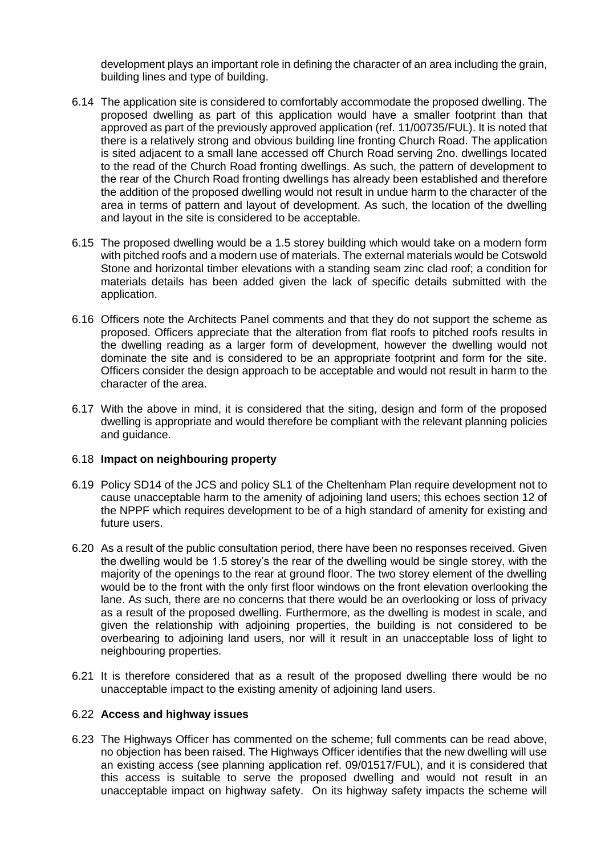development plays an important role in defining the character of an area including the grain, building lines and type of building.

- 6.14 The application site is considered to comfortably accommodate the proposed dwelling. The proposed dwelling as part of this application would have a smaller footprint than that approved as part of the previously approved application (ref. 11/00735/FUL). It is noted that there is a relatively strong and obvious building line fronting Church Road. The application is sited adjacent to a small lane accessed off Church Road serving 2no. dwellings located to the read of the Church Road fronting dwellings. As such, the pattern of development to the rear of the Church Road fronting dwellings has already been established and therefore the addition of the proposed dwelling would not result in undue harm to the character of the area in terms of pattern and layout of development. As such, the location of the dwelling and layout in the site is considered to be acceptable.
- 6.15 The proposed dwelling would be a 1.5 storey building which would take on a modern form with pitched roofs and a modern use of materials. The external materials would be Cotswold Stone and horizontal timber elevations with a standing seam zinc clad roof; a condition for materials details has been added given the lack of specific details submitted with the application.
- 6.16 Officers note the Architects Panel comments and that they do not support the scheme as proposed. Officers appreciate that the alteration from flat roofs to pitched roofs results in the dwelling reading as a larger form of development, however the dwelling would not dominate the site and is considered to be an appropriate footprint and form for the site. Officers consider the design approach to be acceptable and would not result in harm to the character of the area.
- 6.17 With the above in mind, it is considered that the siting, design and form of the proposed dwelling is appropriate and would therefore be compliant with the relevant planning policies and guidance.

#### 6.18 **Impact on neighbouring property**

- 6.19 Policy SD14 of the JCS and policy SL1 of the Cheltenham Plan require development not to cause unacceptable harm to the amenity of adjoining land users; this echoes section 12 of the NPPF which requires development to be of a high standard of amenity for existing and future users.
- 6.20 As a result of the public consultation period, there have been no responses received. Given the dwelling would be 1.5 storey's the rear of the dwelling would be single storey, with the majority of the openings to the rear at ground floor. The two storey element of the dwelling would be to the front with the only first floor windows on the front elevation overlooking the lane. As such, there are no concerns that there would be an overlooking or loss of privacy as a result of the proposed dwelling. Furthermore, as the dwelling is modest in scale, and given the relationship with adjoining properties, the building is not considered to be overbearing to adjoining land users, nor will it result in an unacceptable loss of light to neighbouring properties.
- 6.21 It is therefore considered that as a result of the proposed dwelling there would be no unacceptable impact to the existing amenity of adjoining land users.

#### 6.22 **Access and highway issues**

6.23 The Highways Officer has commented on the scheme; full comments can be read above, no objection has been raised. The Highways Officer identifies that the new dwelling will use an existing access (see planning application ref. 09/01517/FUL), and it is considered that this access is suitable to serve the proposed dwelling and would not result in an unacceptable impact on highway safety. On its highway safety impacts the scheme will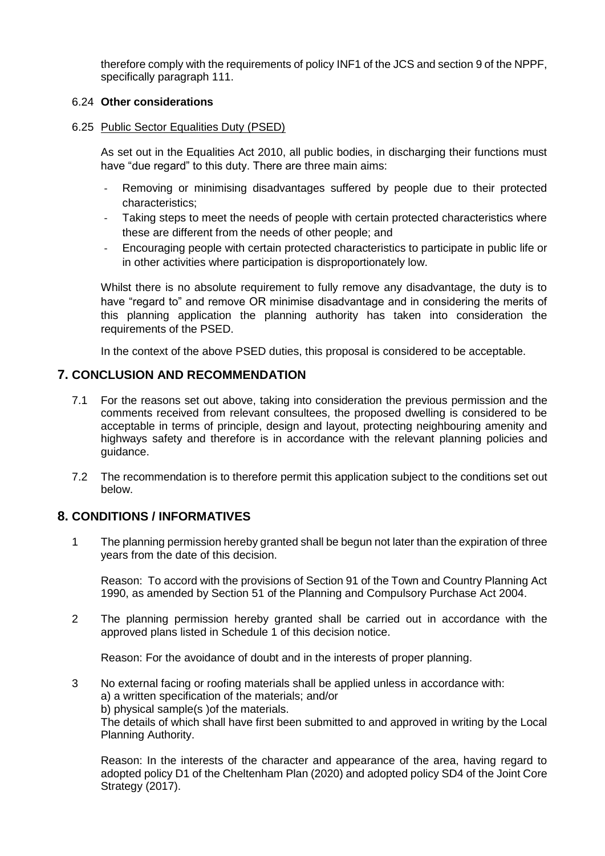therefore comply with the requirements of policy INF1 of the JCS and section 9 of the NPPF, specifically paragraph 111.

### 6.24 **Other considerations**

6.25 Public Sector Equalities Duty (PSED)

As set out in the Equalities Act 2010, all public bodies, in discharging their functions must have "due regard" to this duty. There are three main aims:

- Removing or minimising disadvantages suffered by people due to their protected characteristics;
- Taking steps to meet the needs of people with certain protected characteristics where these are different from the needs of other people; and
- Encouraging people with certain protected characteristics to participate in public life or in other activities where participation is disproportionately low.

Whilst there is no absolute requirement to fully remove any disadvantage, the duty is to have "regard to" and remove OR minimise disadvantage and in considering the merits of this planning application the planning authority has taken into consideration the requirements of the PSED.

In the context of the above PSED duties, this proposal is considered to be acceptable.

# **7. CONCLUSION AND RECOMMENDATION**

- 7.1 For the reasons set out above, taking into consideration the previous permission and the comments received from relevant consultees, the proposed dwelling is considered to be acceptable in terms of principle, design and layout, protecting neighbouring amenity and highways safety and therefore is in accordance with the relevant planning policies and guidance.
- 7.2 The recommendation is to therefore permit this application subject to the conditions set out below.

# **8. CONDITIONS / INFORMATIVES**

1 The planning permission hereby granted shall be begun not later than the expiration of three years from the date of this decision.

Reason: To accord with the provisions of Section 91 of the Town and Country Planning Act 1990, as amended by Section 51 of the Planning and Compulsory Purchase Act 2004.

2 The planning permission hereby granted shall be carried out in accordance with the approved plans listed in Schedule 1 of this decision notice.

Reason: For the avoidance of doubt and in the interests of proper planning.

3 No external facing or roofing materials shall be applied unless in accordance with: a) a written specification of the materials; and/or b) physical sample(s )of the materials. The details of which shall have first been submitted to and approved in writing by the Local Planning Authority.

Reason: In the interests of the character and appearance of the area, having regard to adopted policy D1 of the Cheltenham Plan (2020) and adopted policy SD4 of the Joint Core Strategy (2017).